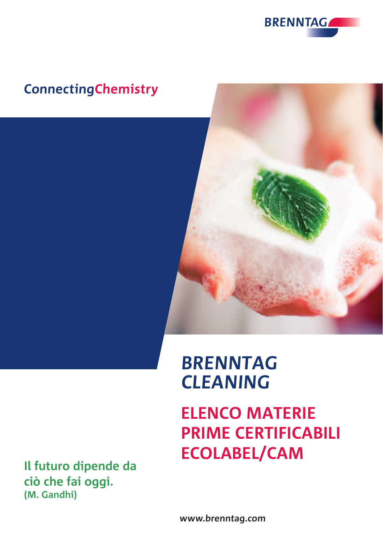

# **ConnectingChemistry**



**ELENCO MATERIE PRIME CERTIFICABILI ECOLABEL/CAM**

**Il futuro dipende da ciò che fai oggi. (M. Gandhi)**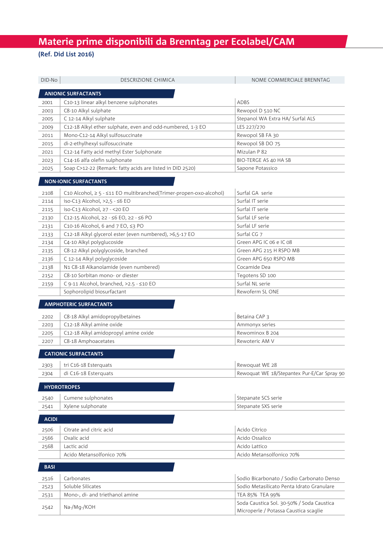# **Materie prime disponibili da Brenntag per Ecolabel/CAM**

## **(Ref. Did List 2016)**

| DID-No       | <b>DESCRIZIONE CHIMICA</b>                                         | NOME COMMERCIALE BRENNTAG                   |
|--------------|--------------------------------------------------------------------|---------------------------------------------|
|              | <b>ANIONIC SURFACTANTS</b>                                         |                                             |
| 2001         | C10-13 linear alkyl benzene sulphonates                            | <b>ADBS</b>                                 |
| 2003         | C8-10 Alkyl sulphate                                               | Rewopol D 510 NC                            |
| 2005         | C 12-14 Alkyl sulphate                                             | Stepanol WA Extra HA/ Surfal ALS            |
| 2009         | C12-18 Alkyl ether sulphate, even and odd-numbered, 1-3 EO         | LES 227/270                                 |
| 2011         | Mono-C12-14 Alkyl sulfosuccinate                                   | Rewopol SB FA 30                            |
| 2015         | di-2-ethylhexyl sulfosuccinate                                     | Rewopol SB DO 75                            |
| 2021         | C12-14 Fatty acid methyl Ester Sulphonate                          | Mizulan P 82                                |
| 2023         | C14-16 alfa olefin sulphonate                                      | BIO-TERGE AS 40 HA SB                       |
| 2025         | Soap C>12-22 (Remark: fatty acids are listed in DID 2520)          | Sapone Potassico                            |
|              |                                                                    |                                             |
|              | <b>NON-IONIC SURFACTANTS</b>                                       |                                             |
| 2108         | C10 Alcohol, ≥ 5 - ≤11 EO multibranched(Trimer-propen-oxo-alcohol) | Surfal GA serie                             |
| 2114         | iso-C13 Alcohol, >2,5 - ≤6 EO                                      | Surfal IT serie                             |
| 2115         | iso-C13 Alcohol, ≥7 - <20 EO                                       | Surfal IT serie                             |
| 2130         | C12-15 Alcohol, ≥2 - ≤6 EO, ≥2 - ≤6 PO                             | Surfal LF serie                             |
| 2131         | C10-16 Alcohol, 6 and 7 EO, ≤3 PO                                  | Surfal LF serie                             |
| 2133         | C12-18 Alkyl glycerol ester (even numbered), >6,5-17 EO            | Surfal CG 7                                 |
| 2134         | C4-10 Alkyl polyglucoside                                          | Green APG IC 06 e IC 08                     |
| 2135         | C8-12 Alkyl polyglycoside, branched                                | Green APG 215 H RSPO MB                     |
| 2136         | C 12-14 Alkyl polyglycoside                                        | Green APG 650 RSPO MB                       |
| 2138         | N1 C8-18 Alkanolamide (even numbered)                              | Cocamide Dea                                |
| 2152         | C8-10 Sorbitan mono- or diester                                    | Tegotens SD 100                             |
| 2159         | C 9-11 Alcohol, branched, >2.5 - ≤10 EO                            | Surfal NL serie                             |
|              | Sophorolipid biosurfactant                                         | Rewoferm SL ONE                             |
|              | <b>AMPHOTERIC SURFACTANTS</b>                                      |                                             |
|              |                                                                    |                                             |
| 2202         | C8-18 Alkyl amidopropylbetaines<br>C12-18 Alkyl amine oxide        | Betaina CAP 3<br>Ammonyx series             |
| 2203         | C12-18 Alkyl amidopropyl amine oxide                               | Rewominox B 204                             |
| 2205         | C8-18 Amphoacetates                                                | Rewoteric AM V                              |
| 2207         |                                                                    |                                             |
|              | <b>CATIONIC SURFACTANTS</b>                                        |                                             |
| 2303         | tri C16-18 Esterquats                                              | Rewoquat WE 28                              |
| 2304         | di C16-18 Esterquats                                               | Rewoquat WE 18/Stepantex Pur-E/Car Spray 90 |
|              | <b>HYDROTROPES</b>                                                 |                                             |
| 2540         | Cumene sulphonates                                                 | Stepanate SCS serie                         |
| 2541         | Xylene sulphonate                                                  | Stepanate SXS serie                         |
|              |                                                                    |                                             |
| <b>ACIDI</b> |                                                                    |                                             |
| 2506         | Citrate and citric acid                                            | Acido Citrico                               |
| 2566         | Oxalic acid                                                        | Acido Ossalico                              |
| 2568         | Lactic acid                                                        | Acido Lattico                               |
|              | Acido Metansolfonico 70%                                           | Acido Metansolfonico 70%                    |
| <b>BASI</b>  |                                                                    |                                             |
| 2516         | Carbonates                                                         | Sodio Bicarbonato / Sodio Carbonato Denso   |
| 2523         | Soluble Silicates                                                  | Sodio Metasilicato Penta Idrato Granulare   |
| 2531         | Mono-, di- and triethanol amine                                    | TEA 85% TEA 99%                             |
|              |                                                                    | Soda Caustica Sol. 30-50% / Soda Caustica   |
| 2542         | Na-/Mg-/KOH                                                        | Microperle / Potassa Caustica scaglie       |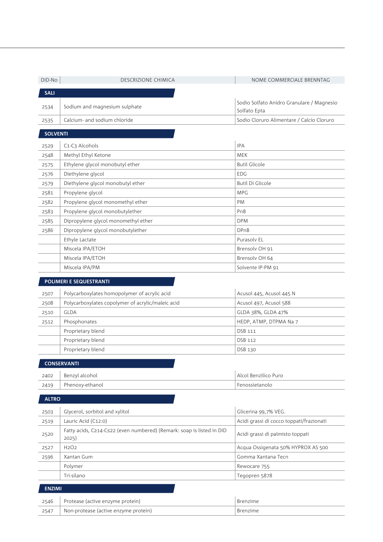| DID-No          | <b>DESCRIZIONE CHIMICA</b>                                                     | NOME COMMERCIALE BRENNTAG                 |
|-----------------|--------------------------------------------------------------------------------|-------------------------------------------|
| <b>SALI</b>     |                                                                                |                                           |
|                 | Sodium and magnesium sulphate                                                  | Sodio Solfato Anidro Granulare / Magnesio |
| 2534            |                                                                                | Solfato Epta                              |
| 2535            | Calcium- and sodium chloride                                                   | Sodio Cloruro Alimentare / Calcio Cloruro |
| <b>SOLVENTI</b> |                                                                                |                                           |
|                 |                                                                                |                                           |
| 2529            | C1-C3 Alcohols                                                                 | <b>IPA</b>                                |
| 2548            | Methyl Ethyl Ketone                                                            | <b>MEK</b>                                |
| 2575            | Ethylene glycol monobutyl ether                                                | <b>Butil Glicole</b>                      |
| 2576            | Diethylene glycol                                                              | <b>EDG</b>                                |
| 2579            | Diethylene glycol monobutyl ether                                              | <b>Butil Di Glicole</b>                   |
| 2581            | Propylene glycol                                                               | <b>MPG</b>                                |
| 2582            | Propylene glycol monomethyl ether                                              | PM                                        |
| 2583            | Propylene glycol monobutylether                                                | PnB                                       |
| 2585            | Dipropylene glycol monomethyl ether                                            | <b>DPM</b>                                |
| 2586            | Dipropylene glycol monobutylether                                              | <b>DPnB</b>                               |
|                 | Ethyle Lactate                                                                 | Purasoly EL                               |
|                 | Miscela IPA/ETOH                                                               | Brensolv OH 91                            |
|                 | Miscela IPA/ETOH                                                               | Brensolv OH 64                            |
|                 | Miscela IPA/PM                                                                 | Solvente IP-PM 91                         |
|                 | POLIMERI E SEQUESTRANTI                                                        |                                           |
| 2507            | Polycarboxylates homopolymer of acrylic acid                                   | Acusol 445, Acusol 445 N                  |
| 2508            | Polycarboxylates copolymer of acrylic/maleic acid                              | Acusol 497, Acusol 588                    |
| 2510            | <b>GLDA</b>                                                                    | GLDA 38%, GLDA 47%                        |
| 2512            | Phosphonates                                                                   | HEDP, ATMP, DTPMA Na 7                    |
|                 | Proprietary blend                                                              | DSB 111                                   |
|                 | Proprietary blend                                                              | DSB 112                                   |
|                 | Proprietary blend                                                              | DSB 130                                   |
|                 |                                                                                |                                           |
|                 | <b>CONSERVANTI</b>                                                             |                                           |
| 2402            | Benzyl alcohol                                                                 | Alcol Benzilico Puro                      |
| 2419            | Phenoxy-ethanol                                                                | Fenossietanolo                            |
| <b>ALTRO</b>    |                                                                                |                                           |
|                 |                                                                                |                                           |
| 2503            | Glycerol, sorbitol and xylitol                                                 | Glicerina 99,7% VEG.                      |
| 2519            | Lauric Acid (C12:0)                                                            | Acidi grassi di cocco toppati/frazionati  |
| 2520            | Fatty acids, C≥14-C≤22 (even numbered) (Remark: soap is listed in DID<br>2025) | Acidi grassi di palmisto toppati          |
| 2527            | H <sub>2</sub> O <sub>2</sub>                                                  | Acqua Ossigenata 50% HYPROX AS 500        |
| 2596            | Xantan Gum                                                                     | Gomma Xantana Tecn                        |
|                 | Polymer                                                                        | Rewocare 755                              |
|                 | Tri-silano                                                                     | Tegopren 5878                             |
| <b>ENZIMI</b>   |                                                                                |                                           |
|                 |                                                                                |                                           |
| 2546            | Protease (active enzyme protein)                                               | Brenzime                                  |

2547 Non-protease (active enzyme protein) Brenzime